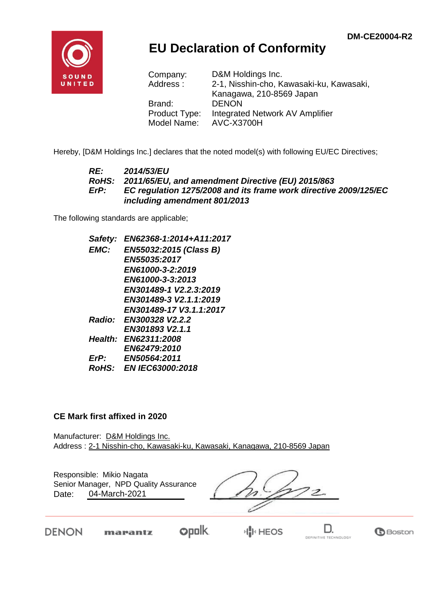

## **EU Declaration of Conformity**

| Company:      | D&M Holdings Inc.                        |
|---------------|------------------------------------------|
| Address:      | 2-1, Nisshin-cho, Kawasaki-ku, Kawasaki, |
|               | Kanagawa, 210-8569 Japan                 |
| Brand:        | <b>DENON</b>                             |
| Product Type: | Integrated Network AV Amplifier          |
| Model Name:   | <b>AVC-X3700H</b>                        |

Hereby, [D&M Holdings Inc.] declares that the noted model(s) with following EU/EC Directives;

#### *RE: 2014/53/EU RoHS: 2011/65/EU, and amendment Directive (EU) 2015/863 ErP: EC regulation 1275/2008 and its frame work directive 2009/125/EC including amendment 801/2013*

The following standards are applicable;

*Safety: EN62368-1:2014+A11:2017 EMC: EN55032:2015 (Class B) EN55035:2017 EN61000-3-2:2019 EN61000-3-3:2013 EN301489-1 V2.2.3:2019 EN301489-3 V2.1.1:2019 EN301489-17 V3.1.1:2017 Radio: EN300328 V2.2.2 EN301893 V2.1.1 Health: EN62311:2008 EN62479:2010 ErP: EN50564:2011 RoHS: EN IEC63000:2018*

#### **CE Mark first affixed in 2020**

Manufacturer: D&M Holdings Inc. Address : 2-1 Nisshin-cho, Kawasaki-ku, Kawasaki, Kanagawa, 210-8569 Japan

Responsible: Mikio Nagata Date: 04-March-2021 Senior Manager, NPD Quality Assurance

 $\overline{\mathcal{Z}}$ 

DENON

**opolk** marantz

D. DEFINITIVE TECHNOLOGY

**B**Boston